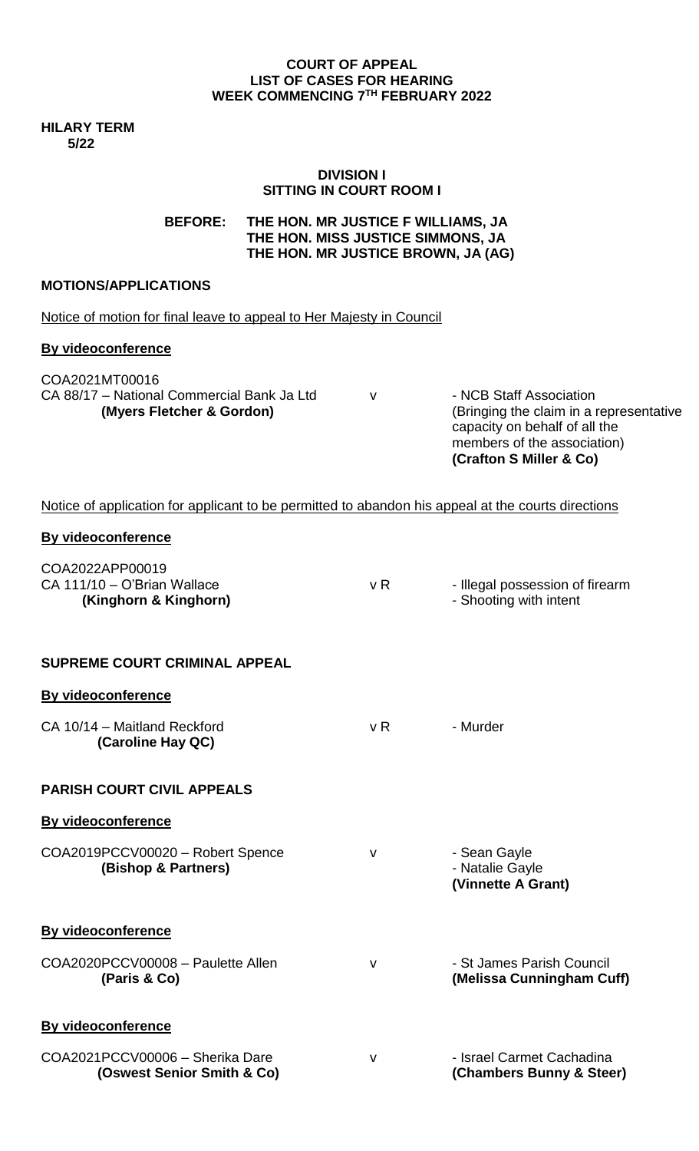#### **COURT OF APPEAL LIST OF CASES FOR HEARING WEEK COMMENCING 7 TH FEBRUARY 2022**

**HILARY TERM 5/22**

### **DIVISION I SITTING IN COURT ROOM I**

## **BEFORE: THE HON. MR JUSTICE F WILLIAMS, JA THE HON. MISS JUSTICE SIMMONS, JA THE HON. MR JUSTICE BROWN, JA (AG)**

## **MOTIONS/APPLICATIONS**

|  |  |  |  | Notice of motion for final leave to appeal to Her Majesty in Council |
|--|--|--|--|----------------------------------------------------------------------|
|--|--|--|--|----------------------------------------------------------------------|

#### **By videoconference**

COA2021MT00016 CA 88/17 - National Commercial Bank Ja Ltd v - NCB Staff Association

 **(Myers Fletcher & Gordon)** (Bringing the claim in a representative capacity on behalf of all the members of the association) **(Crafton S Miller & Co)**

## Notice of application for applicant to be permitted to abandon his appeal at the courts directions

#### **By videoconference**

| COA2022APP00019<br>CA 111/10 - O'Brian Wallace<br>(Kinghorn & Kinghorn) | v R          | - Illegal possession of firearm<br>- Shooting with intent |
|-------------------------------------------------------------------------|--------------|-----------------------------------------------------------|
| <b>SUPREME COURT CRIMINAL APPEAL</b>                                    |              |                                                           |
| <b>By videoconference</b>                                               |              |                                                           |
| CA 10/14 - Maitland Reckford<br>(Caroline Hay QC)                       | v R          | - Murder                                                  |
| <b>PARISH COURT CIVIL APPEALS</b>                                       |              |                                                           |
| <b>By videoconference</b>                                               |              |                                                           |
| COA2019PCCV00020 - Robert Spence<br>(Bishop & Partners)                 | v            | - Sean Gayle<br>- Natalie Gayle<br>(Vinnette A Grant)     |
| <b>By videoconference</b>                                               |              |                                                           |
| COA2020PCCV00008 - Paulette Allen<br>(Paris & Co)                       | v            | - St James Parish Council<br>(Melissa Cunningham Cuff)    |
| <b>By videoconference</b>                                               |              |                                                           |
| COA2021PCCV00006 - Sherika Dare<br>(Oswest Senior Smith & Co)           | $\mathsf{V}$ | - Israel Carmet Cachadina<br>(Chambers Bunny & Steer)     |